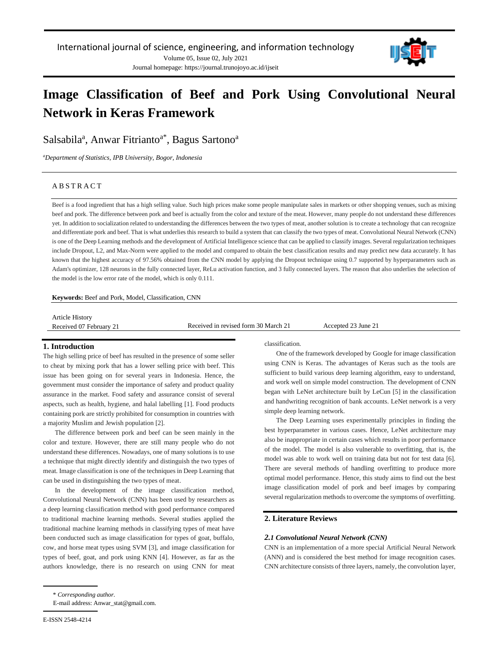

# **Image Classification of Beef and Pork Using Convolutional Neural Network in Keras Framework**

Salsabila<sup>a</sup>, Anwar Fitrianto<sup>a\*</sup>, Bagus Sartono<sup>a</sup>

*<sup>a</sup>Department of Statistics, IPB University, Bogor, Indonesia*

## **ABSTRACT**

Beef is a food ingredient that has a high selling value. Such high prices make some people manipulate sales in markets or other shopping venues, such as mixing beef and pork. The difference between pork and beef is actually from the color and texture of the meat. However, many people do not understand these differences yet. In addition to socialization related to understanding the differences between the two types of meat, another solution is to create a technology that can recognize and differentiate pork and beef. That is what underlies this research to build a system that can classify the two types of meat. Convolutional Neural Network (CNN) is one of the Deep Learning methods and the development of Artificial Intelligence science that can be applied to classify images. Several regularization techniques include Dropout, L2, and Max-Norm were applied to the model and compared to obtain the best classification results and may predict new data accurately. It has known that the highest accuracy of 97.56% obtained from the CNN model by applying the Dropout technique using 0.7 supported by hyperparameters such as Adam's optimizer, 128 neurons in the fully connected layer, ReLu activation function, and 3 fully connected layers. The reason that also underlies the selection of the model is the low error rate of the model, which is only 0.111.

**Keywords:** Beef and Pork, Model, Classification, CNN

Article History

Received 07 February 21 Received in revised form 30 March 21 Accepted 23 June 21

## **1. Introduction**

The high selling price of beef has resulted in the presence of some seller to cheat by mixing pork that has a lower selling price with beef. This issue has been going on for several years in Indonesia. Hence, the government must consider the importance of safety and product quality assurance in the market. Food safety and assurance consist of several aspects, such as health, hygiene, and halal labelling [1]. Food products containing pork are strictly prohibited for consumption in countries with a majority Muslim and Jewish population [2].

The difference between pork and beef can be seen mainly in the color and texture. However, there are still many people who do not understand these differences. Nowadays, one of many solutions is to use a technique that might directly identify and distinguish the two types of meat. Image classification is one of the techniques in Deep Learning that can be used in distinguishing the two types of meat.

In the development of the image classification method, Convolutional Neural Network (CNN) has been used by researchers as a deep learning classification method with good performance compared to traditional machine learning methods. Several studies applied the traditional machine learning methods in classifying types of meat have been conducted such as image classification for types of goat, buffalo, cow, and horse meat types using SVM [3], and image classification for types of beef, goat, and pork using KNN [4]. However, as far as the authors knowledge, there is no research on using CNN for meat classification.

One of the framework developed by Google for image classification using CNN is Keras. The advantages of Keras such as the tools are sufficient to build various deep learning algorithm, easy to understand, and work well on simple model construction. The development of CNN began with LeNet architecture built by LeCun [5] in the classification and handwriting recognition of bank accounts. LeNet network is a very simple deep learning network.

The Deep Learning uses experimentally principles in finding the best hyperparameter in various cases. Hence, LeNet architecture may also be inappropriate in certain cases which results in poor performance of the model. The model is also vulnerable to overfitting, that is, the model was able to work well on training data but not for test data [6]. There are several methods of handling overfitting to produce more optimal model performance. Hence, this study aims to find out the best image classification model of pork and beef images by comparing several regularization methods to overcome the symptoms of overfitting.

## **2. Literature Reviews**

#### *2.1 Convolutional Neural Network (CNN)*

CNN is an implementation of a more special Artificial Neural Network (ANN) and is considered the best method for image recognition cases. CNN architecture consists of three layers, namely, the convolution layer,

<sup>\*</sup> *Corresponding author.*

E-mail address: Anwar\_stat@gmail.com.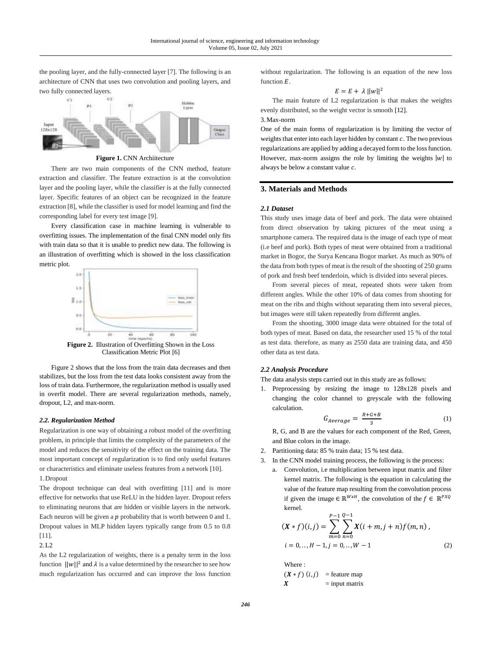the pooling layer, and the fully-connected layer [7]. The following is an architecture of CNN that uses two convolution and pooling layers, and two fully connected layers.



**Figure 1.** CNN Archiitecture

There are two main components of the CNN method, feature extraction and classifier. The feature extraction is at the convolution layer and the pooling layer, while the classifier is at the fully connected layer. Specific features of an object can be recognized in the feature extraction [8], while the classifier is used for model learning and find the corresponding label for every test image [9].

Every classification case in machine learning is vulnerable to overfitting issues. The implementation of the final CNN model only fits with train data so that it is unable to predict new data. The following is an illustration of overfitting which is showed in the loss classification metric plot.



**Figure 2.** Illustration of Overfitting Shown in the Loss Classification Metric Plot [6]

Figure 2 shows that the loss from the train data decreases and then stabilizes, but the loss from the test data looks consistent away from the loss of train data. Furthermore, the regularization method is usually used in overfit model. There are several regularization methods, namely, dropout, L2, and max-norm.

## *2.2. Regularization Method*

Regularization is one way of obtaining a robust model of the overfitting problem, in principle that limits the complexity of the parameters of the model and reduces the sensitivity of the effect on the training data. The most important concept of regularization is to find only useful features or characteristics and eliminate useless features from a network [10]. 1.Dropout

The dropout technique can deal with overfitting [11] and is more effective for networks that use ReLU in the hidden layer. Dropout refers to eliminating neurons that are hidden or visible layers in the network. Each neuron will be given a  $p$  probability that is worth between 0 and 1. Dropout values in MLP hidden layers typically range from 0.5 to 0.8 [11].

2.L2

As the L2 regularization of weights, there is a penalty term in the loss function  $||w||^2$  and  $\lambda$  is a value determined by the researcher to see how much regularization has occurred and can improve the loss function

without regularization. The following is an equation of the new loss function  $E$ .

$$
E = E + \lambda ||w||^2
$$

The main feature of L2 regularization is that makes the weights evenly distributed, so the weight vector is smooth [12].

## 3.Max-norm

One of the main forms of regularization is by limiting the vector of weights that enter into each layer hidden by constant  $c$ . The two previous regularizations are applied by adding a decayed form to the loss function. However, max-norm assigns the role by limiting the weights  $|w|$  to always be below a constant value  $c$ .

## **3. Materials and Methods**

#### *2.1 Dataset*

This study uses image data of beef and pork. The data were obtained from direct observation by taking pictures of the meat using a smartphone camera. The required data is the image of each type of meat (i.e beef and pork). Both types of meat were obtained from a traditional market in Bogor, the Surya Kencana Bogor market. As much as 90% of the data from both types of meat is the result of the shooting of 250 grams of pork and fresh beef tenderloin, which is divided into several pieces.

From several pieces of meat, repeated shots were taken from different angles. While the other 10% of data comes from shooting for meat on the ribs and thighs without separating them into several pieces, but images were still taken repeatedly from different angles.

From the shooting, 3000 image data were obtained for the total of both types of meat. Based on data, the researcher used 15 % of the total as test data. therefore, as many as 2550 data are training data, and 450 other data as test data.

## *2.2 Analysis Procedure*

The data analysis steps carried out in this study are as follows:

1. Preprocessing by resizing the image to 128x128 pixels and changing the color channel to greyscale with the following calculation.

$$
G_{Average} = \frac{R + G + B}{3} \tag{1}
$$

R, G, and B are the values for each component of the Red, Green, and Blue colors in the image.

- 2. Partitioning data: 85 % train data; 15 % test data.
- 3. In the CNN model training process, the following is the process:
	- a. Convolution, i.e multiplication between input matrix and filter kernel matrix. The following is the equation in calculating the value of the feature map resulting from the convolution process if given the image  $\in \mathbb{R}^{W \times H}$ , the convolution of the  $f \in \mathbb{R}^{P \times Q}$ kernel*.*

$$
(X * f)(i,j) = \sum_{m=0}^{P-1} \sum_{n=0}^{Q-1} X(i+m, j+n) f(m,n),
$$
  

$$
i = 0,.., H-1, j = 0,.., W-1
$$
 (2)

Where :  $(X * f)$   $(i, j)$  = feature map  $X = \text{input matrix}$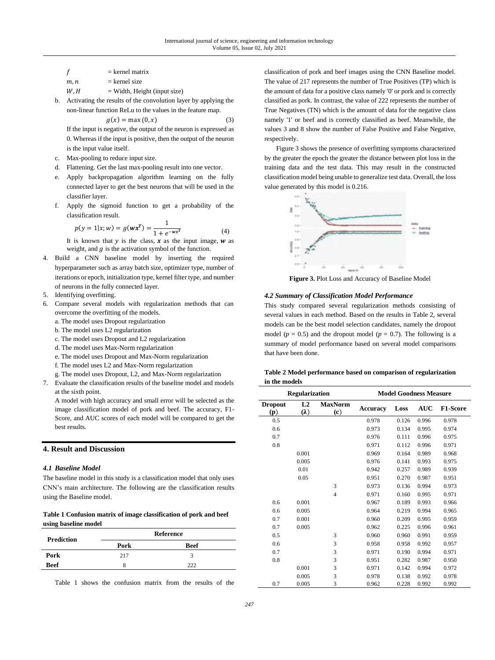- $f = \text{kernel matrix}$
- $m, n$  = kernel size
- $W, H$  = Width, Height (input size)
- b. Activating the results of the convolution layer by applying the non-linear function ReLu to the values in the feature map.

$$
g(x) = \max(0, x) \tag{3}
$$

If the input is negative, the output of the neuron is expressed as 0. Whereas if the input is positive, then the output of the neuron is the input value itself.

- c. Max-pooling to reduce input size*.*
- d. Flattening. Get the last max-pooling result into one vector.
- e. Apply backpropagation algorithm learning on the fully connected layer to get the best neurons that will be used in the classifier layer.
- f. Apply the sigmoid function to get a probability of the classification result.

$$
p(y = 1|x; w) = g(wx^T) = \frac{1}{1 + e^{-wx^T}}
$$
 (4)

It is known that  $y$  is the class,  $x$  as the input image,  $w$  as weight, and  $g$  is the activation symbol of the function.

- 4. Build a CNN baseline model by inserting the required hyperparameter such as array batch size, optimizer type, number of iterations or epoch, initialization type, kernel filter type, and number of neurons in the fully connected layer.
- 5. Identifying overfitting.
- 6. Compare several models with regularization methods that can overcome the overfitting of the models.
	- a. The model uses Dropout regularization
	- b. The model uses L2 regularization
	- c. The model uses Dropout and L2 regularization
	- d. The model uses Max-Norm regularization
	- e. The model uses Dropout and Max-Norm regularization
	- f. The model uses L2 and Max-Norm regularization
	- g. The model uses Dropout, L2, and Max-Norm regularization
- 7. Evaluate the classification results of the baseline model and models at the sixth point.

A model with high accuracy and small error will be selected as the image classification model of pork and beef. The accuracy, F1- Score, and AUC scores of each model will be compared to get the best results.

## **4. Result and Discussion**

## *4.1 Baseline Model*

The baseline model in this study is a classification model that only uses CNN's main architecture. The following are the classification results using the Baseline model.

**Table 1 Confusion matrix of image classification of pork and beef using baseline model**

| Prediction | <b>Reference</b> |      |  |
|------------|------------------|------|--|
|            | Pork             | Beef |  |
| Pork       | 217              | ÷.   |  |
| Beef       |                  | າາາ  |  |

Table 1 shows the confusion matrix from the results of the

classification of pork and beef images using the CNN Baseline model. The value of 217 represents the number of True Positives (TP) which is the amount of data for a positive class namely '0' or pork and is correctly classified as pork. In contrast, the value of 222 represents the number of True Negatives (TN) which is the amount of data for the negative class namely '1' or beef and is correctly classified as beef. Meanwhile, the values 3 and 8 show the number of False Positive and False Negative, respectively.

Figure 3 shows the presence of overfitting symptoms characterized by the greater the epoch the greater the distance between plot loss in the training data and the test data. This may result in the constructed classification model being unable to generalize test data. Overall, the loss value generated by this model is 0.216.



**Figure 3.** Plot Loss and Accuracy of Baseline Model

#### *4.2 Summary of Classification Model Performance*

This study compared several regularization methods consisting of several values in each method. Based on the results in Table 2, several models can be the best model selection candidates, namely the dropout model ( $p = 0.5$ ) and the dropout model ( $p = 0.7$ ). The following is a summary of model performance based on several model comparisons that have been done.

|               |  | Table 2 Model performance based on comparison of regularization |
|---------------|--|-----------------------------------------------------------------|
| in the models |  |                                                                 |

| <b>Regularization</b> |                               | <b>Model Goodness Measure</b> |                 |       |            |                 |
|-----------------------|-------------------------------|-------------------------------|-----------------|-------|------------|-----------------|
| <b>Dropout</b><br>(p) | L <sub>2</sub><br>$(\lambda)$ | <b>MaxNorm</b><br>(c)         | <b>Accuracy</b> | Loss  | <b>AUC</b> | <b>F1-Score</b> |
| 0.5                   |                               |                               | 0.978           | 0.126 | 0.996      | 0.978           |
| 0.6                   |                               |                               | 0.973           | 0.134 | 0.995      | 0.974           |
| 0.7                   |                               |                               | 0.976           | 0.111 | 0.996      | 0.975           |
| 0.8                   |                               |                               | 0.971           | 0.112 | 0.996      | 0.971           |
|                       | 0.001                         |                               | 0.969           | 0.164 | 0.989      | 0.968           |
|                       | 0.005                         |                               | 0.976           | 0.141 | 0.993      | 0.975           |
|                       | 0.01                          |                               | 0.942           | 0.257 | 0.989      | 0.939           |
|                       | 0.05                          |                               | 0.951           | 0.270 | 0.987      | 0.951           |
|                       |                               | 3                             | 0.973           | 0.136 | 0.994      | 0.973           |
|                       |                               | $\overline{4}$                | 0.971           | 0.160 | 0.995      | 0.971           |
| 0.6                   | 0.001                         |                               | 0.967           | 0.189 | 0.993      | 0.966           |
| 0.6                   | 0.005                         |                               | 0.964           | 0.219 | 0.994      | 0.965           |
| 0.7                   | 0.001                         |                               | 0.960           | 0.209 | 0.995      | 0.959           |
| 0.7                   | 0.005                         |                               | 0.962           | 0.225 | 0.996      | 0.961           |
| 0.5                   |                               | 3                             | 0.960           | 0.960 | 0.991      | 0.959           |
| 0.6                   |                               | 3                             | 0.958           | 0.958 | 0.992      | 0.957           |
| 0.7                   |                               | 3                             | 0.971           | 0.190 | 0.994      | 0.971           |
| 0.8                   |                               | 3                             | 0.951           | 0.282 | 0.987      | 0.950           |
|                       | 0.001                         | 3                             | 0.971           | 0.142 | 0.994      | 0.972           |
|                       | 0.005                         | 3                             | 0.978           | 0.138 | 0.992      | 0.978           |
| 0.7                   | 0.005                         | 3                             | 0.962           | 0.228 | 0.992      | 0.992           |